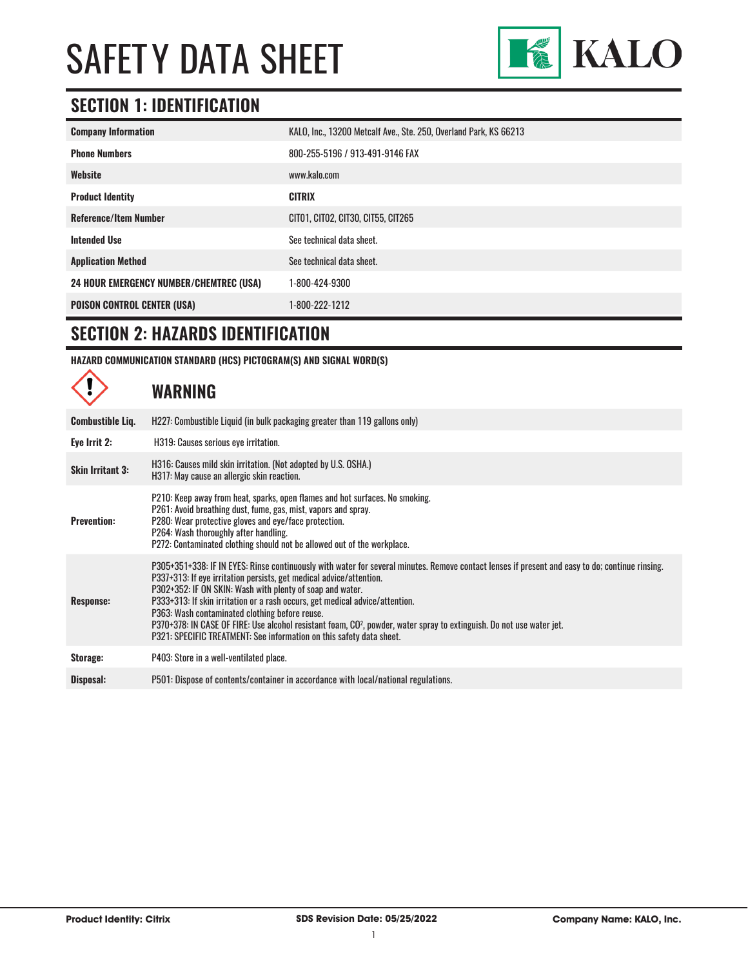

## **SECTION 1: IDENTIFICATION**

| <b>Company Information</b>                     | KALO, Inc., 13200 Metcalf Ave., Ste. 250, Overland Park, KS 66213 |
|------------------------------------------------|-------------------------------------------------------------------|
| <b>Phone Numbers</b>                           | 800-255-5196 / 913-491-9146 FAX                                   |
| Website                                        | www.kalo.com                                                      |
| <b>Product Identity</b>                        | <b>CITRIX</b>                                                     |
| <b>Reference/Item Number</b>                   | CIT01, CIT02, CIT30, CIT55, CIT265                                |
| <b>Intended Use</b>                            | See technical data sheet.                                         |
| <b>Application Method</b>                      | See technical data sheet.                                         |
| <b>24 HOUR EMERGENCY NUMBER/CHEMTREC (USA)</b> | 1-800-424-9300                                                    |
| <b>POISON CONTROL CENTER (USA)</b>             | 1-800-222-1212                                                    |

## **SECTION 2: HAZARDS IDENTIFICATION**

**HAZARD COMMUNICATION STANDARD (HCS) PICTOGRAM(S) AND SIGNAL WORD(S)**

|                         | <b>WARNING</b>                                                                                                                                                                                                                                                                                                                                                                                                                                                                                                                                                                                                                     |
|-------------------------|------------------------------------------------------------------------------------------------------------------------------------------------------------------------------------------------------------------------------------------------------------------------------------------------------------------------------------------------------------------------------------------------------------------------------------------------------------------------------------------------------------------------------------------------------------------------------------------------------------------------------------|
| <b>Combustible Liq.</b> | H227: Combustible Liquid (in bulk packaging greater than 119 gallons only)                                                                                                                                                                                                                                                                                                                                                                                                                                                                                                                                                         |
| Eye Irrit 2:            | H319: Causes serious eye irritation.                                                                                                                                                                                                                                                                                                                                                                                                                                                                                                                                                                                               |
| <b>Skin Irritant 3:</b> | H316: Causes mild skin irritation. (Not adopted by U.S. OSHA.)<br>H317: May cause an allergic skin reaction.                                                                                                                                                                                                                                                                                                                                                                                                                                                                                                                       |
| <b>Prevention:</b>      | P210: Keep away from heat, sparks, open flames and hot surfaces. No smoking.<br>P261: Avoid breathing dust, fume, gas, mist, vapors and spray.<br>P280: Wear protective gloves and eye/face protection.<br>P264: Wash thoroughly after handling.<br>P272: Contaminated clothing should not be allowed out of the workplace.                                                                                                                                                                                                                                                                                                        |
| <b>Response:</b>        | P305+351+338: IF IN EYES: Rinse continuously with water for several minutes. Remove contact lenses if present and easy to do; continue rinsing.<br>P337+313: If eye irritation persists, get medical advice/attention.<br>P302+352: IF ON SKIN: Wash with plenty of soap and water.<br>P333+313: If skin irritation or a rash occurs, get medical advice/attention.<br>P363: Wash contaminated clothing before reuse.<br>P370+378: IN CASE OF FIRE: Use alcohol resistant foam, CO <sup>2</sup> , powder, water spray to extinguish. Do not use water jet.<br>P321: SPECIFIC TREATMENT: See information on this safety data sheet. |
| Storage:                | P403: Store in a well-ventilated place.                                                                                                                                                                                                                                                                                                                                                                                                                                                                                                                                                                                            |
| Disposal:               | P501: Dispose of contents/container in accordance with local/national regulations.                                                                                                                                                                                                                                                                                                                                                                                                                                                                                                                                                 |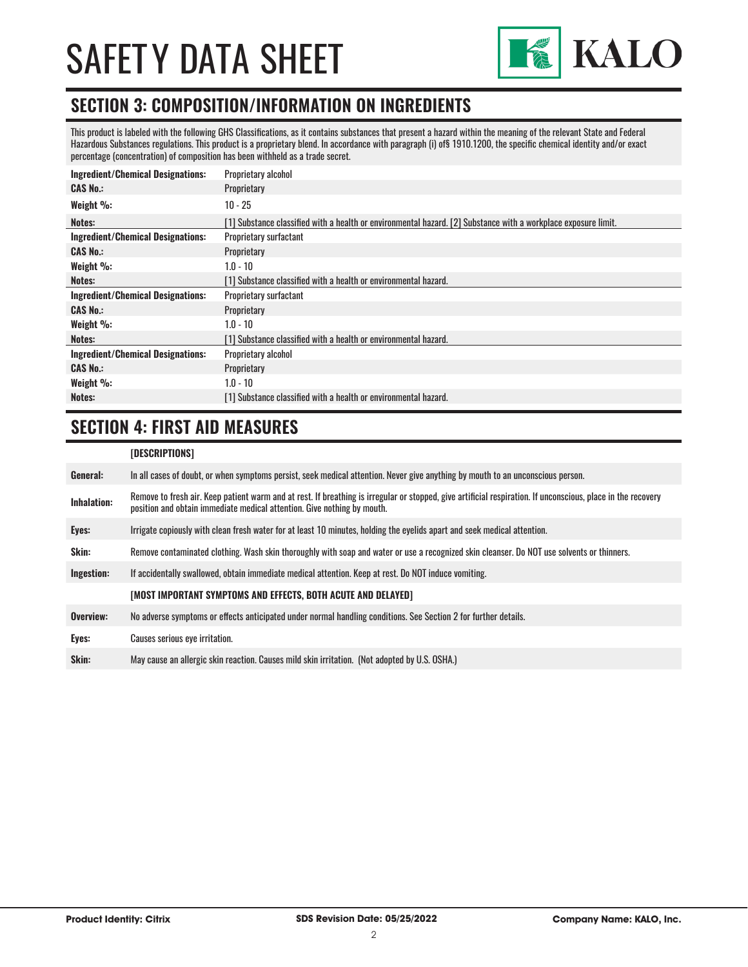

### **SECTION 3: COMPOSITION/INFORMATION ON INGREDIENTS**

This product is labeled with the following GHS Classifications, as it contains substances that present a hazard within the meaning of the relevant State and Federal Hazardous Substances regulations. This product is a proprietary blend. In accordance with paragraph (i) of§ 1910.1200, the specific chemical identity and/or exact percentage (concentration) of composition has been withheld as a trade secret.

| <b>Ingredient/Chemical Designations:</b> | Proprietary alcohol                                                                                            |
|------------------------------------------|----------------------------------------------------------------------------------------------------------------|
| <b>CAS No.:</b>                          | Proprietary                                                                                                    |
| Weight %:                                | $10 - 25$                                                                                                      |
| Notes:                                   | [1] Substance classified with a health or environmental hazard. [2] Substance with a workplace exposure limit. |
| <b>Ingredient/Chemical Designations:</b> | <b>Proprietary surfactant</b>                                                                                  |
| <b>CAS No.:</b>                          | Proprietary                                                                                                    |
| Weight %:                                | $1.0 - 10$                                                                                                     |
| Notes:                                   | [1] Substance classified with a health or environmental hazard.                                                |
| <b>Ingredient/Chemical Designations:</b> | <b>Proprietary surfactant</b>                                                                                  |
| <b>CAS No.:</b>                          | Proprietary                                                                                                    |
| Weight %:                                | $1.0 - 10$                                                                                                     |
| Notes:                                   | [1] Substance classified with a health or environmental hazard.                                                |
| <b>Ingredient/Chemical Designations:</b> | Proprietary alcohol                                                                                            |
| <b>CAS No.:</b>                          | Proprietary                                                                                                    |
| Weight %:                                | $1.0 - 10$                                                                                                     |
| Notes:                                   | [1] Substance classified with a health or environmental hazard.                                                |

## **SECTION 4: FIRST AID MEASURES**

### **[DESCRIPTIONS]**

| General:           | In all cases of doubt, or when symptoms persist, seek medical attention. Never give anything by mouth to an unconscious person.                                                                                                         |
|--------------------|-----------------------------------------------------------------------------------------------------------------------------------------------------------------------------------------------------------------------------------------|
| <b>Inhalation:</b> | Remove to fresh air. Keep patient warm and at rest. If breathing is irregular or stopped, give artificial respiration. If unconscious, place in the recovery<br>position and obtain immediate medical attention. Give nothing by mouth. |
| Eyes:              | Irrigate copiously with clean fresh water for at least 10 minutes, holding the eyelids apart and seek medical attention.                                                                                                                |
| Skin:              | Remove contaminated clothing. Wash skin thoroughly with soap and water or use a recognized skin cleanser. Do NOT use solvents or thinners.                                                                                              |
| Ingestion:         | If accidentally swallowed, obtain immediate medical attention. Keep at rest. Do NOT induce vomiting.                                                                                                                                    |
|                    | [MOST IMPORTANT SYMPTOMS AND EFFECTS, BOTH ACUTE AND DELAYED]                                                                                                                                                                           |
| Overview:          | No adverse symptoms or effects anticipated under normal handling conditions. See Section 2 for further details.                                                                                                                         |
| Eyes:              | Causes serious eye irritation.                                                                                                                                                                                                          |
| Skin:              | May cause an allergic skin reaction. Causes mild skin irritation. (Not adopted by U.S. OSHA.)                                                                                                                                           |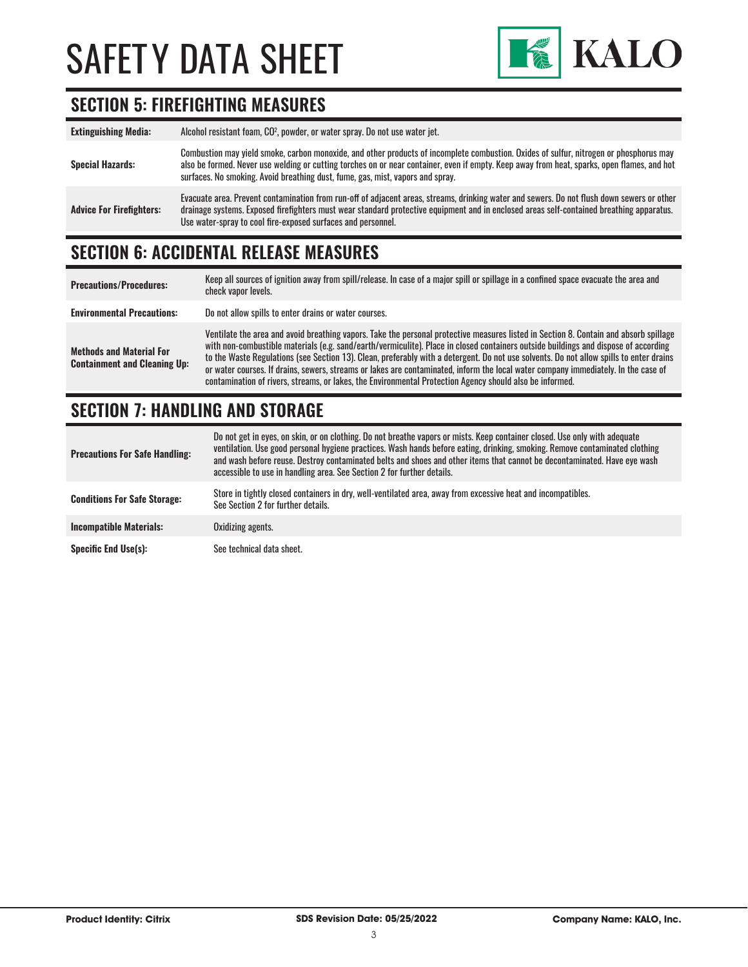

## **SECTION 5: FIREFIGHTING MEASURES**

| <b>Extinguishing Media:</b>     | Alcohol resistant foam, CO <sup>2</sup> , powder, or water spray. Do not use water jet.                                                                                                                                                                                                                                                                                 |
|---------------------------------|-------------------------------------------------------------------------------------------------------------------------------------------------------------------------------------------------------------------------------------------------------------------------------------------------------------------------------------------------------------------------|
| <b>Special Hazards:</b>         | Combustion may yield smoke, carbon monoxide, and other products of incomplete combustion. Oxides of sulfur, nitrogen or phosphorus may<br>also be formed. Never use welding or cutting torches on or near container, even if empty. Keep away from heat, sparks, open flames, and hot<br>surfaces. No smoking. Avoid breathing dust, fume, gas, mist, vapors and spray. |
| <b>Advice For Firefighters:</b> | Evacuate area. Prevent contamination from run-off of adjacent areas, streams, drinking water and sewers. Do not flush down sewers or other<br>drainage systems. Exposed firefighters must wear standard protective equipment and in enclosed areas self-contained breathing apparatus.<br>Use water-spray to cool fire-exposed surfaces and personnel.                  |

## **SECTION 6: ACCIDENTAL RELEASE MEASURES**

| <b>Precautions/Procedures:</b>                                         | Keep all sources of ignition away from spill/release. In case of a major spill or spillage in a confined space evacuate the area and<br>check vapor levels.                                                                                                                                                                                                                                                                                                                                                                                                                                                                                                               |
|------------------------------------------------------------------------|---------------------------------------------------------------------------------------------------------------------------------------------------------------------------------------------------------------------------------------------------------------------------------------------------------------------------------------------------------------------------------------------------------------------------------------------------------------------------------------------------------------------------------------------------------------------------------------------------------------------------------------------------------------------------|
| <b>Environmental Precautions:</b>                                      | Do not allow spills to enter drains or water courses.                                                                                                                                                                                                                                                                                                                                                                                                                                                                                                                                                                                                                     |
| <b>Methods and Material For</b><br><b>Containment and Cleaning Up:</b> | Ventilate the area and avoid breathing vapors. Take the personal protective measures listed in Section 8. Contain and absorb spillage<br>with non-combustible materials (e.g. sand/earth/vermiculite). Place in closed containers outside buildings and dispose of according<br>to the Waste Regulations (see Section 13). Clean, preferably with a detergent. Do not use solvents. Do not allow spills to enter drains<br>or water courses. If drains, sewers, streams or lakes are contaminated, inform the local water company immediately. In the case of<br>contamination of rivers, streams, or lakes, the Environmental Protection Agency should also be informed. |

## **SECTION 7: HANDLING AND STORAGE**

| <b>Precautions For Safe Handling:</b> | Do not get in eyes, on skin, or on clothing. Do not breathe vapors or mists. Keep container closed. Use only with adequate<br>ventilation. Use good personal hygiene practices. Wash hands before eating, drinking, smoking. Remove contaminated clothing<br>and wash before reuse. Destroy contaminated belts and shoes and other items that cannot be decontaminated. Have eye wash<br>accessible to use in handling area. See Section 2 for further details. |
|---------------------------------------|-----------------------------------------------------------------------------------------------------------------------------------------------------------------------------------------------------------------------------------------------------------------------------------------------------------------------------------------------------------------------------------------------------------------------------------------------------------------|
| <b>Conditions For Safe Storage:</b>   | Store in tightly closed containers in dry, well-ventilated area, away from excessive heat and incompatibles.<br>See Section 2 for further details.                                                                                                                                                                                                                                                                                                              |
| <b>Incompatible Materials:</b>        | Oxidizing agents.                                                                                                                                                                                                                                                                                                                                                                                                                                               |
| <b>Specific End Use(s):</b>           | See technical data sheet.                                                                                                                                                                                                                                                                                                                                                                                                                                       |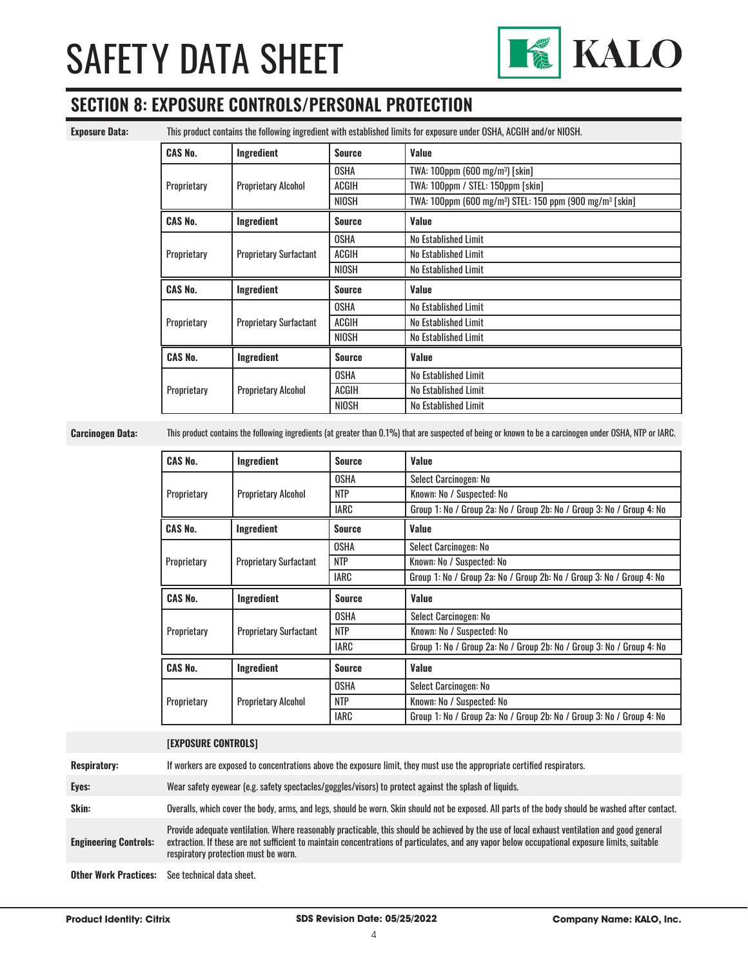

## **SECTION 8: EXPOSURE CONTROLS/PERSONAL PROTECTION**

**Exposure Data:** This product contains the following ingredient with established limits for exposure under OSHA, ACGIH and/or NIOSH.

| <b>CAS No.</b> | Ingredient                    | <b>Source</b> | Value                                                                            |
|----------------|-------------------------------|---------------|----------------------------------------------------------------------------------|
|                |                               | <b>OSHA</b>   | TWA: 100ppm (600 mg/m <sup>3</sup> ) [skin]                                      |
| Proprietary    | <b>Proprietary Alcohol</b>    | ACGIH         | TWA: 100ppm / STEL: 150ppm [skin]                                                |
|                |                               | <b>NIOSH</b>  | TWA: 100ppm (600 mg/m <sup>3</sup> ) STEL: 150 ppm (900 mg/m <sup>3</sup> [skin] |
| <b>CAS No.</b> | Ingredient                    | Source        | Value                                                                            |
|                |                               | <b>OSHA</b>   | No Established Limit                                                             |
| Proprietary    | <b>Proprietary Surfactant</b> | ACGIH         | No Established Limit                                                             |
|                |                               | <b>NIOSH</b>  | No Established Limit                                                             |
| <b>CAS No.</b> | Ingredient                    | <b>Source</b> | Value                                                                            |
|                |                               |               |                                                                                  |
|                |                               | <b>OSHA</b>   | No Established Limit                                                             |
| Proprietary    | <b>Proprietary Surfactant</b> | <b>ACGIH</b>  | No Established Limit                                                             |
|                |                               | <b>NIOSH</b>  | No Established Limit                                                             |
| <b>CAS No.</b> | Ingredient                    | <b>Source</b> | Value                                                                            |
|                |                               | <b>OSHA</b>   | No Established Limit                                                             |
| Proprietary    | <b>Proprietary Alcohol</b>    | ACGIH         | No Established Limit                                                             |

**Carcinogen Data:** This product contains the following ingredients (at greater than 0.1%) that are suspected of being or known to be a carcinogen under OSHA, NTP or IARC.

| <b>CAS No.</b> | Ingredient                    | <b>Source</b> | Value                                                                 |
|----------------|-------------------------------|---------------|-----------------------------------------------------------------------|
|                |                               | <b>OSHA</b>   | Select Carcinogen: No                                                 |
| Proprietary    | <b>Proprietary Alcohol</b>    | <b>NTP</b>    | Known: No / Suspected: No                                             |
|                |                               | IARC          | Group 1: No / Group 2a: No / Group 2b: No / Group 3: No / Group 4: No |
| <b>CAS No.</b> | Ingredient                    | <b>Source</b> | Value                                                                 |
|                |                               | <b>OSHA</b>   | Select Carcinogen: No                                                 |
| Proprietary    | <b>Proprietary Surfactant</b> | <b>NTP</b>    | Known: No / Suspected: No                                             |
|                |                               | <b>IARC</b>   | Group 1: No / Group 2a: No / Group 2b: No / Group 3: No / Group 4: No |
| <b>CAS No.</b> | Ingredient                    | <b>Source</b> | Value                                                                 |
|                |                               | <b>OSHA</b>   | Select Carcinogen: No                                                 |
|                |                               |               |                                                                       |
| Proprietary    | <b>Proprietary Surfactant</b> | <b>NTP</b>    | Known: No / Suspected: No                                             |
|                |                               | IARC          | Group 1: No / Group 2a: No / Group 2b: No / Group 3: No / Group 4: No |
| <b>CAS No.</b> | Ingredient                    | <b>Source</b> | Value                                                                 |
|                |                               | <b>OSHA</b>   | Select Carcinogen: No                                                 |
| Proprietary    | <b>Proprietary Alcohol</b>    | <b>NTP</b>    | Known: No / Suspected: No                                             |

#### **[EXPOSURE CONTROLS]**

**Respiratory:** If workers are exposed to concentrations above the exposure limit, they must use the appropriate certified respirators.

**Eyes:** Wear safety eyewear (e.g. safety spectacles/goggles/visors) to protect against the splash of liquids.

**Skin:** Overalls, which cover the body, arms, and legs, should be worn. Skin should not be exposed. All parts of the body should be washed after contact.

**Engineering Controls:** Provide adequate ventilation. Where reasonably practicable, this should be achieved by the use of local exhaust ventilation and good general extraction. If these are not sufficient to maintain concentrations of particulates, and any vapor below occupational exposure limits, suitable respiratory protection must be worn.

**Other Work Practices:** See technical data sheet.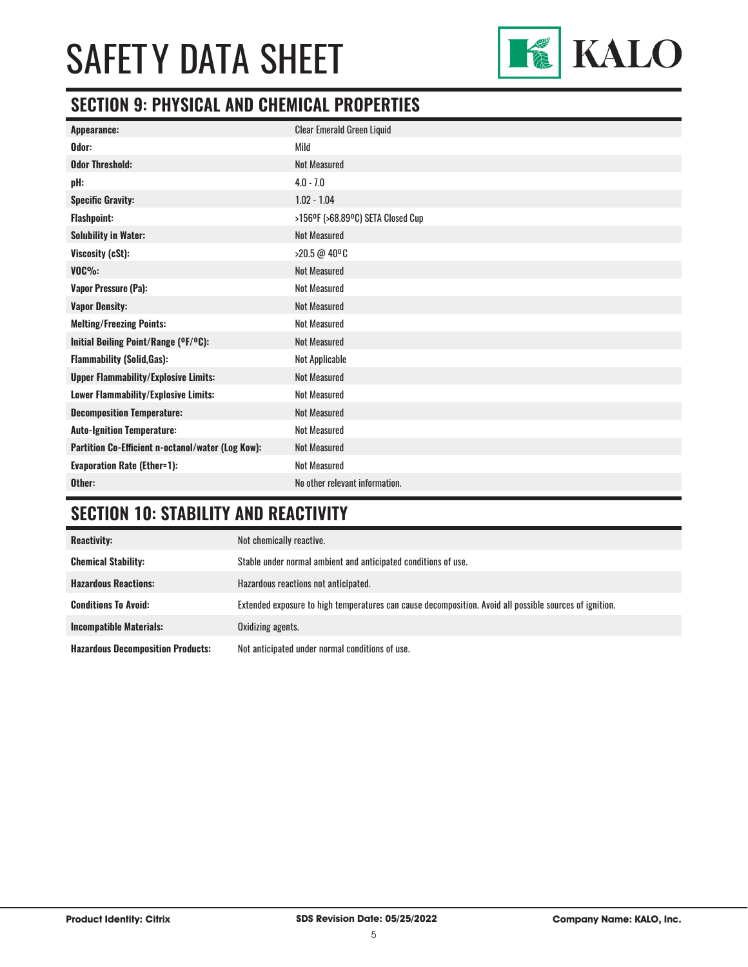

## **SECTION 9: PHYSICAL AND CHEMICAL PROPERTIES**

| <b>Clear Emerald Green Liquid</b> |
|-----------------------------------|
| Mild                              |
| <b>Not Measured</b>               |
| $4.0 - 7.0$                       |
| $1.02 - 1.04$                     |
| >156ºF (>68.89ºC) SETA Closed Cup |
| <b>Not Measured</b>               |
| >20.5 @ 40°C                      |
| <b>Not Measured</b>               |
| <b>Not Measured</b>               |
| <b>Not Measured</b>               |
| <b>Not Measured</b>               |
| <b>Not Measured</b>               |
| Not Applicable                    |
| <b>Not Measured</b>               |
| <b>Not Measured</b>               |
| <b>Not Measured</b>               |
| <b>Not Measured</b>               |
| <b>Not Measured</b>               |
| <b>Not Measured</b>               |
| No other relevant information.    |
|                                   |

## **SECTION 10: STABILITY AND REACTIVITY**

| <b>Reactivity:</b>                       | Not chemically reactive.                                                                                |
|------------------------------------------|---------------------------------------------------------------------------------------------------------|
| <b>Chemical Stability:</b>               | Stable under normal ambient and anticipated conditions of use.                                          |
| <b>Hazardous Reactions:</b>              | Hazardous reactions not anticipated.                                                                    |
| <b>Conditions To Avoid:</b>              | Extended exposure to high temperatures can cause decomposition. Avoid all possible sources of ignition. |
| <b>Incompatible Materials:</b>           | Oxidizing agents.                                                                                       |
| <b>Hazardous Decomposition Products:</b> | Not anticipated under normal conditions of use.                                                         |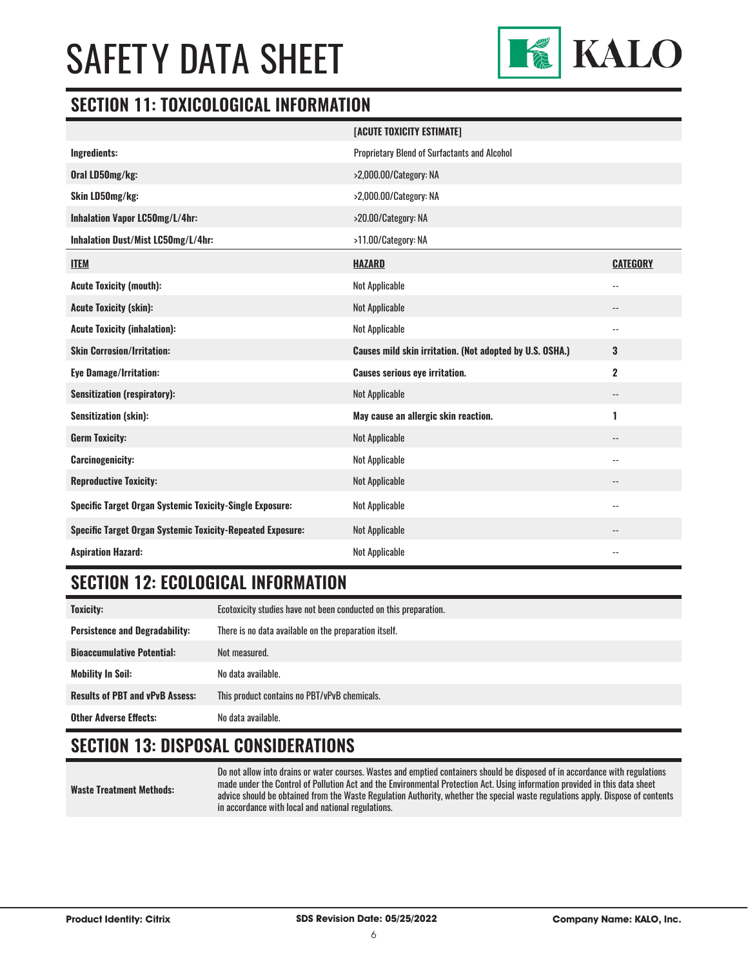

### **SECTION 11: TOXICOLOGICAL INFORMATION**

|                                                                   | [ACUTE TOXICITY ESTIMATE]                                |                          |
|-------------------------------------------------------------------|----------------------------------------------------------|--------------------------|
| Ingredients:                                                      | <b>Proprietary Blend of Surfactants and Alcohol</b>      |                          |
| Oral LD50mg/kg:                                                   | >2,000.00/Category: NA                                   |                          |
| Skin LD50mg/kg:                                                   | >2,000.00/Category: NA                                   |                          |
| Inhalation Vapor LC50mg/L/4hr:                                    | >20.00/Category: NA                                      |                          |
| Inhalation Dust/Mist LC50mg/L/4hr:                                | >11.00/Category: NA                                      |                          |
| <b>ITEM</b>                                                       | <b>HAZARD</b>                                            | <b>CATEGORY</b>          |
| <b>Acute Toxicity (mouth):</b>                                    | Not Applicable                                           | $\overline{a}$           |
| <b>Acute Toxicity (skin):</b>                                     | Not Applicable                                           | $-$                      |
| <b>Acute Toxicity (inhalation):</b>                               | Not Applicable                                           | $\overline{\phantom{a}}$ |
| <b>Skin Corrosion/Irritation:</b>                                 | Causes mild skin irritation. (Not adopted by U.S. OSHA.) | 3                        |
| <b>Eye Damage/Irritation:</b>                                     | <b>Causes serious eye irritation.</b>                    | $\overline{2}$           |
| <b>Sensitization (respiratory):</b>                               | Not Applicable                                           | $\overline{\phantom{a}}$ |
| <b>Sensitization (skin):</b>                                      | May cause an allergic skin reaction.                     | 1                        |
| <b>Germ Toxicity:</b>                                             | Not Applicable                                           | $\overline{\phantom{a}}$ |
| <b>Carcinogenicity:</b>                                           | Not Applicable                                           | $\overline{\phantom{a}}$ |
| <b>Reproductive Toxicity:</b>                                     | <b>Not Applicable</b>                                    | $\overline{\phantom{a}}$ |
| <b>Specific Target Organ Systemic Toxicity-Single Exposure:</b>   | Not Applicable                                           | $-$                      |
| <b>Specific Target Organ Systemic Toxicity-Repeated Exposure:</b> | Not Applicable                                           | $\overline{\phantom{a}}$ |
| <b>Aspiration Hazard:</b>                                         | <b>Not Applicable</b>                                    | $-$                      |

## **SECTION 12: ECOLOGICAL INFORMATION**

| <b>Toxicity:</b>                       | Ecotoxicity studies have not been conducted on this preparation. |  |
|----------------------------------------|------------------------------------------------------------------|--|
| <b>Persistence and Degradability:</b>  | There is no data available on the preparation itself.            |  |
| <b>Bioaccumulative Potential:</b>      | Not measured.                                                    |  |
| <b>Mobility In Soil:</b>               | No data available.                                               |  |
| <b>Results of PBT and vPvB Assess:</b> | This product contains no PBT/vPvB chemicals.                     |  |
| <b>Other Adverse Effects:</b>          | No data available.                                               |  |

## **SECTION 13: DISPOSAL CONSIDERATIONS**

**Waste Treatment Methods:** Do not allow into drains or water courses. Wastes and emptied containers should be disposed of in accordance with regulations made under the Control of Pollution Act and the Environmental Protection Act. Using information provided in this data sheet advice should be obtained from the Waste Regulation Authority, whether the special waste regulations apply. Dispose of contents in accordance with local and national regulations.